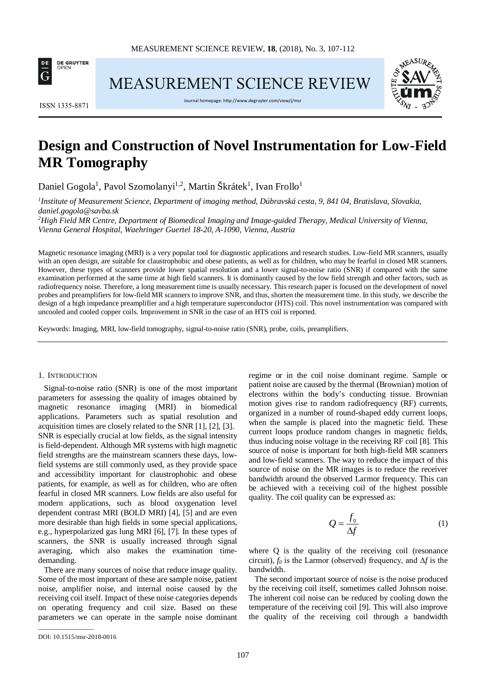

MEASUREMENT SCIENCE REVIEW



**ISSN 1335-8871** 

Journal homepage[: http://www.degruyter.com/view/j/msr](http://www.degruyter.com/view/j/msr)

# **Design and Construction of Novel Instrumentation for Low-Field MR Tomography**

Daniel Gogola<sup>1</sup>, Pavol Szomolanyi<sup>1,2</sup>, Martin Škrátek<sup>1</sup>, Ivan Frollo<sup>1</sup>

*1 Institute of Measurement Science, Department of imaging method, Dúbravská cesta, 9, 841 04, Bratislava, Slovakia, daniel.gogola@savba.sk*

<sup>2</sup>High Field MR Centre, Department of Biomedical Imaging and Image-guided Therapy, Medical University of Vienna, *Vienna General Hospital, Waehringer Guertel 18-20, A-1090, Vienna, Austria*

Magnetic resonance imaging (MRI) is a very popular tool for diagnostic applications and research studies. Low-field MR scanners, usually with an open design, are suitable for claustrophobic and obese patients, as well as for children, who may be fearful in closed MR scanners. However, these types of scanners provide lower spatial resolution and a lower signal-to-noise ratio (SNR) if compared with the same examination performed at the same time at high field scanners. It is dominantly caused by the low field strength and other factors, such as radiofrequency noise. Therefore, a long measurement time is usually necessary. This research paper is focused on the development of novel probes and preamplifiers for low-field MR scanners to improve SNR, and thus, shorten the measurement time. In this study, we describe the design of a high impedance preamplifier and a high temperature superconductor (HTS) coil. This novel instrumentation was compared with uncooled and cooled copper coils. Improvement in SNR in the case of an HTS coil is reported.

Keywords: Imaging, MRI, low-field tomography, signal-to-noise ratio (SNR), probe, coils, preamplifiers.

#### 1. INTRODUCTION

Signal-to-noise ratio (SNR) is one of the most important parameters for assessing the quality of images obtained by magnetic resonance imaging (MRI) in biomedical applications. Parameters such as spatial resolution and acquisition times are closely related to the SNR [1], [2], [3]. SNR is especially crucial at low fields, as the signal intensity is field-dependent. Although MR systems with high magnetic field strengths are the mainstream scanners these days, lowfield systems are still commonly used, as they provide space and accessibility important for claustrophobic and obese patients, for example, as well as for children, who are often fearful in closed MR scanners. Low fields are also useful for modern applications, such as blood oxygenation level dependent contrast MRI (BOLD MRI) [4], [5] and are even more desirable than high fields in some special applications, e.g., hyperpolarized gas lung MRI [6], [7]. In these types of scanners, the SNR is usually increased through signal averaging, which also makes the examination timedemanding.

There are many sources of noise that reduce image quality. Some of the most important of these are sample noise, patient noise, amplifier noise, and internal noise caused by the receiving coil itself. Impact of these noise categories depends on operating frequency and coil size. Based on these parameters we can operate in the sample noise dominant regime or in the coil noise dominant regime. Sample or patient noise are caused by the thermal (Brownian) motion of electrons within the body's conducting tissue. Brownian motion gives rise to random radiofrequency (RF) currents, organized in a number of round-shaped eddy current loops, when the sample is placed into the magnetic field. These current loops produce random changes in magnetic fields, thus inducing noise voltage in the receiving RF coil [8]. This source of noise is important for both high-field MR scanners and low-field scanners. The way to reduce the impact of this source of noise on the MR images is to reduce the receiver bandwidth around the observed Larmor frequency. This can be achieved with a receiving coil of the highest possible quality. The coil quality can be expressed as:

$$
Q = \frac{f_0}{\Delta f} \tag{1}
$$

where Q is the quality of the receiving coil (resonance circuit),  $f_0$  is the Larmor (observed) frequency, and  $\Delta f$  is the bandwidth.

The second important source of noise is the noise produced by the receiving coil itself, sometimes called Johnson noise. The inherent coil noise can be reduced by cooling down the temperature of the receiving coil [9]. This will also improve the quality of the receiving coil through a bandwidth

\_\_\_\_\_\_\_\_\_\_\_\_\_\_\_\_\_

DOI: 10.1515/msr-2018-0016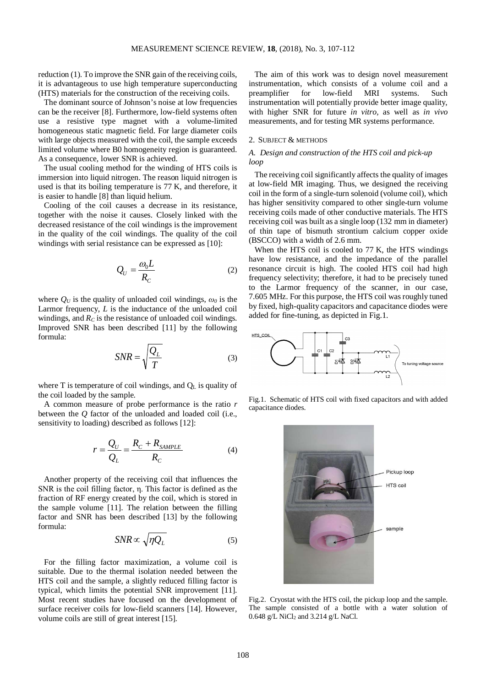reduction (1). To improve the SNR gain of the receiving coils, it is advantageous to use high temperature superconducting (HTS) materials for the construction of the receiving coils.

The dominant source of Johnson's noise at low frequencies can be the receiver [8]. Furthermore, low-field systems often use a resistive type magnet with a volume-limited homogeneous static magnetic field. For large diameter coils with large objects measured with the coil, the sample exceeds limited volume where B0 homogeneity region is guaranteed. As a consequence, lower SNR is achieved.

The usual cooling method for the winding of HTS coils is immersion into liquid nitrogen. The reason liquid nitrogen is used is that its boiling temperature is 77 K, and therefore, it is easier to handle [8] than liquid helium.

Cooling of the coil causes a decrease in its resistance, together with the noise it causes. Closely linked with the decreased resistance of the coil windings is the improvement in the quality of the coil windings. The quality of the coil windings with serial resistance can be expressed as [10]:

$$
Q_U = \frac{\omega_0 L}{R_C} \tag{2}
$$

where  $O_U$  is the quality of unloaded coil windings,  $\omega_0$  is the Larmor frequency, *L* is the inductance of the unloaded coil windings, and  $R_C$  is the resistance of unloaded coil windings. Improved SNR has been described [11] by the following formula:

$$
SNR = \sqrt{\frac{Q_L}{T}}
$$
 (3)

where  $T$  is temperature of coil windings, and  $Q_L$  is quality of the coil loaded by the sample.

A common measure of probe performance is the ratio *r*  between the *Q* factor of the unloaded and loaded coil (i.e., sensitivity to loading) described as follows [12]:

$$
r = \frac{Q_U}{Q_L} = \frac{R_C + R_{SAMPLE}}{R_C}
$$
 (4)

Another property of the receiving coil that influences the SNR is the coil filling factor, η. This factor is defined as the fraction of RF energy created by the coil, which is stored in the sample volume [11]. The relation between the filling factor and SNR has been described [13] by the following formula:

$$
SNR \propto \sqrt{\eta Q_L} \tag{5}
$$

For the filling factor maximization, a volume coil is suitable. Due to the thermal isolation needed between the HTS coil and the sample, a slightly reduced filling factor is typical, which limits the potential SNR improvement [11]. Most recent studies have focused on the development of surface receiver coils for low-field scanners [14]. However, volume coils are still of great interest [15].

The aim of this work was to design novel measurement instrumentation, which consists of a volume coil and a preamplifier for low-field MRI systems. Such instrumentation will potentially provide better image quality, with higher SNR for future *in vitro,* as well as *in vivo* measurements, and for testing MR systems performance.

#### 2. SUBJECT & METHODS

# *A. Design and construction of the HTS coil and pick-up loop*

The receiving coil significantly affects the quality of images at low-field MR imaging. Thus, we designed the receiving coil in the form of a single-turn solenoid (volume coil), which has higher sensitivity compared to other single-turn volume receiving coils made of other conductive materials. The HTS receiving coil was built as a single loop (132 mm in diameter) of thin tape of bismuth strontium calcium copper oxide (BSCCO) with a width of 2.6 mm.

When the HTS coil is cooled to 77 K, the HTS windings have low resistance, and the impedance of the parallel resonance circuit is high. The cooled HTS coil had high frequency selectivity; therefore, it had to be precisely tuned to the Larmor frequency of the scanner, in our case, 7.605 MHz. For this purpose, the HTS coil wasroughly tuned by fixed, high-quality capacitors and capacitance diodes were added for fine-tuning, as depicted in Fig.1.



Fig.1. Schematic of HTS coil with fixed capacitors and with added capacitance diodes.



Fig.2. Cryostat with the HTS coil, the pickup loop and the sample. The sample consisted of a bottle with a water solution of 0.648 g/L NiCl<sub>2</sub> and 3.214 g/L NaCl.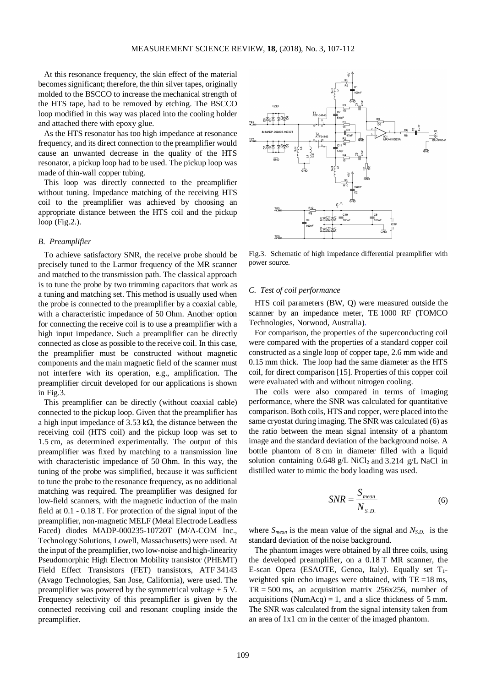At this resonance frequency, the skin effect of the material becomes significant; therefore, the thin silver tapes, originally molded to the BSCCO to increase the mechanical strength of the HTS tape, had to be removed by etching. The BSCCO loop modified in this way was placed into the cooling holder and attached there with epoxy glue.

As the HTS resonator has too high impedance at resonance frequency, and its direct connection to the preamplifier would cause an unwanted decrease in the quality of the HTS resonator, a pickup loop had to be used. The pickup loop was made of thin-wall copper tubing.

This loop was directly connected to the preamplifier without tuning. Impedance matching of the receiving HTS coil to the preamplifier was achieved by choosing an appropriate distance between the HTS coil and the pickup loop (Fig.2.).

#### *B. Preamplifier*

To achieve satisfactory SNR, the receive probe should be precisely tuned to the Larmor frequency of the MR scanner and matched to the transmission path. The classical approach is to tune the probe by two trimming capacitors that work as a tuning and matching set. This method is usually used when the probe is connected to the preamplifier by a coaxial cable, with a characteristic impedance of 50 Ohm. Another option for connecting the receive coil is to use a preamplifier with a high input impedance. Such a preamplifier can be directly connected as close as possible to the receive coil. In this case, the preamplifier must be constructed without magnetic components and the main magnetic field of the scanner must not interfere with its operation, e.g., amplification. The preamplifier circuit developed for our applications is shown in Fig.3.

This preamplifier can be directly (without coaxial cable) connected to the pickup loop. Given that the preamplifier has a high input impedance of 3.53 k $\Omega$ , the distance between the receiving coil (HTS coil) and the pickup loop was set to 1.5 cm, as determined experimentally. The output of this preamplifier was fixed by matching to a transmission line with characteristic impedance of 50 Ohm. In this way, the tuning of the probe was simplified, because it was sufficient to tune the probe to the resonance frequency, as no additional matching was required. The preamplifier was designed for low-field scanners, with the magnetic induction of the main field at 0.1 - 0.18 T. For protection of the signal input of the preamplifier, non-magnetic MELF (Metal Electrode Leadless Faced) diodes MADP-000235-10720T (M/A-COM Inc., Technology Solutions, Lowell, Massachusetts) were used. At the input of the preamplifier, two low-noise and high-linearity Pseudomorphic High Electron Mobility transistor (PHEMT) Field Effect Transistors (FET) transistors, ATF 34143 (Avago Technologies, San Jose, California), were used. The preamplifier was powered by the symmetrical voltage  $\pm$  5 V. Frequency selectivity of this preamplifier is given by the connected receiving coil and resonant coupling inside the preamplifier.



Fig.3. Schematic of high impedance differential preamplifier with power source.

## *C. Test of coil performance*

HTS coil parameters (BW, Q) were measured outside the scanner by an impedance meter, TE 1000 RF (TOMCO Technologies, Norwood, Australia).

For comparison, the properties of the superconducting coil were compared with the properties of a standard copper coil constructed as a single loop of copper tape, 2.6 mm wide and 0.15 mm thick. The loop had the same diameter as the HTS coil, for direct comparison [15]. Properties of this copper coil were evaluated with and without nitrogen cooling.

The coils were also compared in terms of imaging performance, where the SNR was calculated for quantitative comparison. Both coils, HTS and copper, were placed into the same cryostat during imaging. The SNR was calculated (6) as the ratio between the mean signal intensity of a phantom image and the standard deviation of the background noise. A bottle phantom of 8 cm in diameter filled with a liquid solution containing  $0.648$  g/L NiCl<sub>2</sub> and  $3.214$  g/L NaCl in distilled water to mimic the body loading was used.

$$
SNR = \frac{S_{mean}}{N_{S.D.}}
$$
 (6)

where *Smean* is the mean value of the signal and *NS.D.* is the standard deviation of the noise background.

The phantom images were obtained by all three coils, using the developed preamplifier, on a 0.18 T MR scanner, the E-scan Opera (ESAOTE, Genoa, Italy). Equally set  $T_1$ weighted spin echo images were obtained, with TE =18 ms,  $TR = 500$  ms, an acquisition matrix 256x256, number of acquisitions (NumAcq) = 1, and a slice thickness of 5 mm. The SNR was calculated from the signal intensity taken from an area of 1x1 cm in the center of the imaged phantom.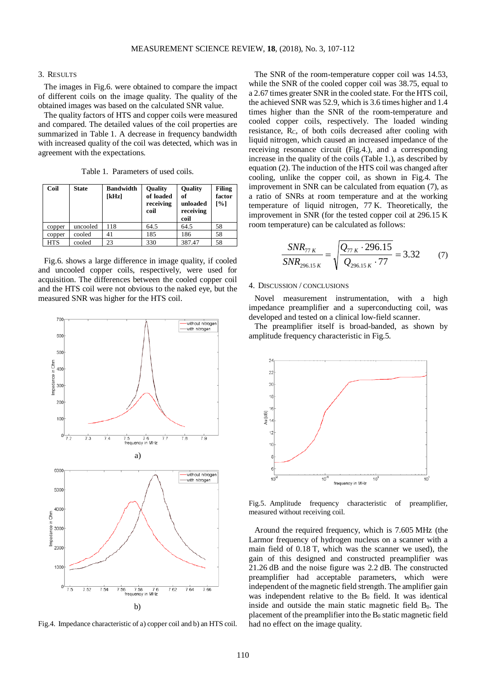#### 3. RESULTS

The images in Fig.6. were obtained to compare the impact of different coils on the image quality. The quality of the obtained images was based on the calculated SNR value.

The quality factors of HTS and copper coils were measured and compared. The detailed values of the coil properties are summarized in Table 1. A decrease in frequency bandwidth with increased quality of the coil was detected, which was in agreement with the expectations.

Table 1. Parameters of used coils.

| Coil   | <b>State</b> | <b>Bandwidth</b><br>[kHz] | <b>Quality</b><br>of loaded<br>receiving<br>coil | <b>Quality</b><br>of<br>unloaded<br>receiving<br>coil | <b>Filing</b><br>factor<br>[%] |
|--------|--------------|---------------------------|--------------------------------------------------|-------------------------------------------------------|--------------------------------|
| copper | uncooled     | 118                       | 64.5                                             | 64.5                                                  | 58                             |
| copper | cooled       | 41                        | 185                                              | 186                                                   | 58                             |
| HTS    | cooled       | 23                        | 330                                              | 387.47                                                | 58                             |

Fig.6. shows a large difference in image quality, if cooled and uncooled copper coils, respectively, were used for acquisition. The differences between the cooled copper coil and the HTS coil were not obvious to the naked eye, but the measured SNR was higher for the HTS coil.



Fig.4. Impedance characteristic of a) copper coil and b) an HTS coil.

The SNR of the room-temperature copper coil was 14.53, while the SNR of the cooled copper coil was 38.75, equal to a 2.67 times greater SNR in the cooled state. For the HTS coil, the achieved SNR was 52.9, which is 3.6 times higher and 1.4 times higher than the SNR of the room-temperature and cooled copper coils, respectively. The loaded winding resistance, R<sub>C</sub>, of both coils decreased after cooling with liquid nitrogen, which caused an increased impedance of the receiving resonance circuit (Fig.4.), and a corresponding increase in the quality of the coils (Table 1.), as described by equation (2). The induction of the HTS coil was changed after cooling, unlike the copper coil, as shown in Fig.4. The improvement in SNR can be calculated from equation (7), as a ratio of SNRs at room temperature and at the working temperature of liquid nitrogen, 77 K. Theoretically, the improvement in SNR (for the tested copper coil at 296.15 K room temperature) can be calculated as follows:

$$
\frac{SNR_{77 K}}{SNR_{296.15 K}} = \sqrt{\frac{Q_{77 K} \cdot 296.15}{Q_{296.15 K} \cdot 77}} = 3.32 \tag{7}
$$

## 4. DISCUSSION / CONCLUSIONS

Novel measurement instrumentation, with a high impedance preamplifier and a superconducting coil, was developed and tested on a clinical low-field scanner.

The preamplifier itself is broad-banded, as shown by amplitude frequency characteristic in Fig.5.



Fig.5. Amplitude frequency characteristic of preamplifier, measured without receiving coil.

Around the required frequency, which is 7.605 MHz (the Larmor frequency of hydrogen nucleus on a scanner with a main field of 0.18 T, which was the scanner we used), the gain of this designed and constructed preamplifier was 21.26 dB and the noise figure was 2.2 dB. The constructed preamplifier had acceptable parameters, which were independent of the magnetic field strength. The amplifier gain was independent relative to the  $B_0$  field. It was identical inside and outside the main static magnetic field  $B_0$ . The placement of the preamplifier into the  $B_0$  static magnetic field had no effect on the image quality.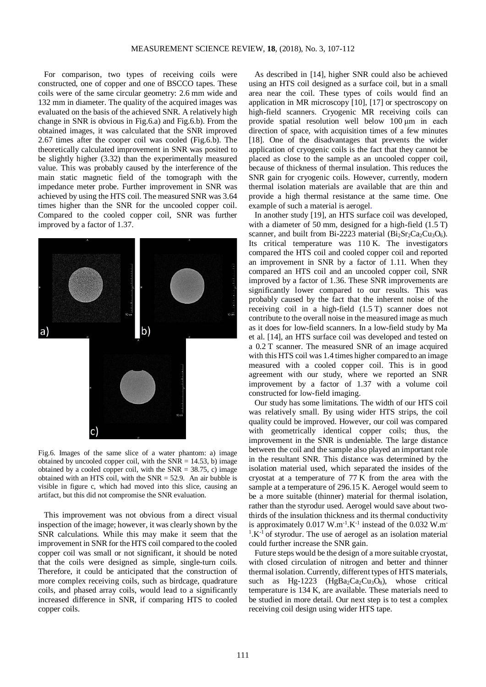For comparison, two types of receiving coils were constructed, one of copper and one of BSCCO tapes. These coils were of the same circular geometry: 2.6 mm wide and 132 mm in diameter. The quality of the acquired images was evaluated on the basis of the achieved SNR. A relatively high change in SNR is obvious in Fig.6.a) and Fig.6.b). From the obtained images, it was calculated that the SNR improved 2.67 times after the cooper coil was cooled (Fig.6.b). The theoretically calculated improvement in SNR was posited to be slightly higher (3.32) than the experimentally measured value. This was probably caused by the interference of the main static magnetic field of the tomograph with the impedance meter probe. Further improvement in SNR was achieved by using the HTS coil. The measured SNR was 3.64 times higher than the SNR for the uncooled copper coil. Compared to the cooled copper coil, SNR was further improved by a factor of 1.37.



Fig.6. Images of the same slice of a water phantom: a) image obtained by uncooled copper coil, with the  $SNR = 14.53$ , b) image obtained by a cooled copper coil, with the  $SNR = 38.75$ , c) image obtained with an HTS coil, with the SNR = 52.9. An air bubble is visible in figure c, which had moved into this slice, causing an artifact, but this did not compromise the SNR evaluation.

This improvement was not obvious from a direct visual inspection of the image; however, it was clearly shown by the SNR calculations. While this may make it seem that the improvement in SNR for the HTS coil compared to the cooled copper coil was small or not significant, it should be noted that the coils were designed as simple, single-turn coils. Therefore, it could be anticipated that the construction of more complex receiving coils, such as birdcage, quadrature coils, and phased array coils, would lead to a significantly increased difference in SNR, if comparing HTS to cooled copper coils.

As described in [14], higher SNR could also be achieved using an HTS coil designed as a surface coil, but in a small area near the coil. These types of coils would find an application in MR microscopy [10], [17] or spectroscopy on high-field scanners. Cryogenic MR receiving coils can provide spatial resolution well below 100 μm in each direction of space, with acquisition times of a few minutes [18]. One of the disadvantages that prevents the wider application of cryogenic coils is the fact that they cannot be placed as close to the sample as an uncooled copper coil, because of thickness of thermal insulation. This reduces the SNR gain for cryogenic coils. However, currently, modern thermal isolation materials are available that are thin and provide a high thermal resistance at the same time. One example of such a material is aerogel.

In another study [19], an HTS surface coil was developed, with a diameter of 50 mm, designed for a high-field  $(1.5 T)$ scanner, and built from Bi-2223 material (Bi<sub>2</sub>Sr<sub>2</sub>Ca<sub>2</sub>Cu<sub>3</sub>O<sub>6</sub>). Its critical temperature was 110 K. The investigators compared the HTS coil and cooled copper coil and reported an improvement in SNR by a factor of 1.11. When they compared an HTS coil and an uncooled copper coil, SNR improved by a factor of 1.36. These SNR improvements are significantly lower compared to our results. This was probably caused by the fact that the inherent noise of the receiving coil in a high-field (1.5 T) scanner does not contribute to the overall noise in the measured image as much as it does for low-field scanners. In a low-field study by Ma et al. [14], an HTS surface coil was developed and tested on a 0.2 T scanner. The measured SNR of an image acquired with this HTS coil was 1.4 times higher compared to an image measured with a cooled copper coil. This is in good agreement with our study, where we reported an SNR improvement by a factor of 1.37 with a volume coil constructed for low-field imaging.

Our study has some limitations. The width of our HTS coil was relatively small. By using wider HTS strips, the coil quality could be improved. However, our coil was compared with geometrically identical copper coils; thus, the improvement in the SNR is undeniable. The large distance between the coil and the sample also played an important role in the resultant SNR. This distance was determined by the isolation material used, which separated the insides of the cryostat at a temperature of 77 K from the area with the sample at a temperature of 296.15 K. Aerogel would seem to be a more suitable (thinner) material for thermal isolation, rather than the styrodur used. Aerogel would save about twothirds of the insulation thickness and its thermal conductivity is approximately  $0.017 \text{ W.m}^{-1}$ . K<sup>-1</sup> instead of the  $0.032 \text{ W.m}$  $1.K^{-1}$  of styrodur. The use of aerogel as an isolation material could further increase the SNR gain.

Future steps would be the design of a more suitable cryostat, with closed circulation of nitrogen and better and thinner thermal isolation. Currently, different types of HTS materials, such as Hg-1223 (HgBa<sub>2</sub>Ca<sub>2</sub>Cu<sub>3</sub>O<sub>8</sub>), whose critical temperature is 134 K, are available. These materials need to be studied in more detail. Our next step is to test a complex receiving coil design using wider HTS tape.